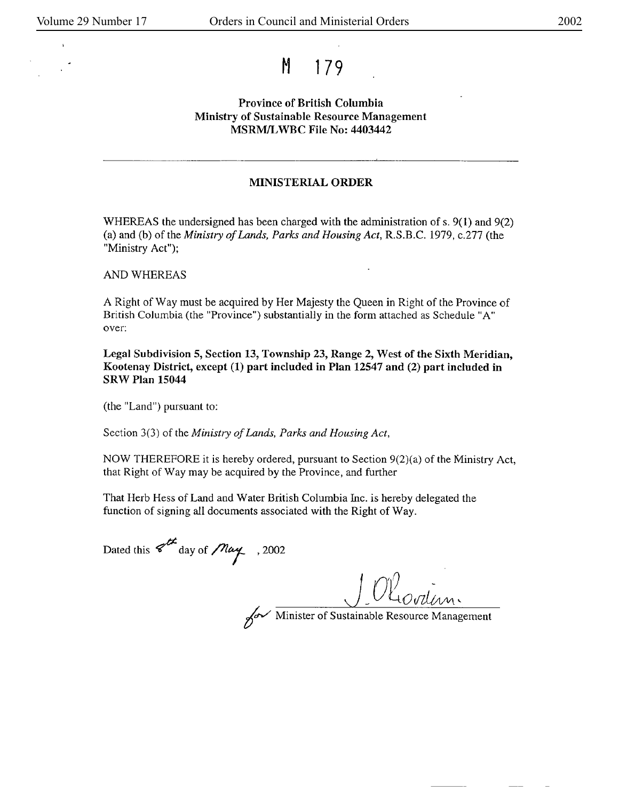## M 179

## Province of British Columbia **Ministry** of Sustainable Resource Management **MSRM/L WBC** File No: 4403442

## **MINISTERIAL ORDER**

WHEREAS the undersigned has been charged with the administration of s. 9(1) and 9(2) (a) and (b) of the *Ministry of Lands, Parks and Housing Act,* R.S.B.C. 1979, c.277 (the "Ministry Act");

AND WHEREAS

A Right of Way must be acquired by Her Majesty the Queen in Right of the Province of British Columbia (the "Province") substantially in the form attached as Schedule "A" over:

**Legal Subdivision 5, Section 13, Township 23, Range 2,** West of the Sixth Meridian, **Kootenay District, except (1) part included in Plan** 12547 and (2) part included in **SRW Plan 15044** 

(the "Land") pursuant to:

Section 3(3) of the *Ministry of Lands*, Parks and Housing Act,

NOW THEREFORE it is hereby ordered, pursuant to Section  $9(2)(a)$  of the Ministry Act, that Right of Way may be acquired by the Province, and further

That Herb Hess of Land and Water British Columbia Inc. is hereby delegated the function of signing all documents associated with the Right of Way.

Dated this  $8^{th}$  day of  $\text{/}$ *Nay* , 2002

Minister of Sustainable Resource Management